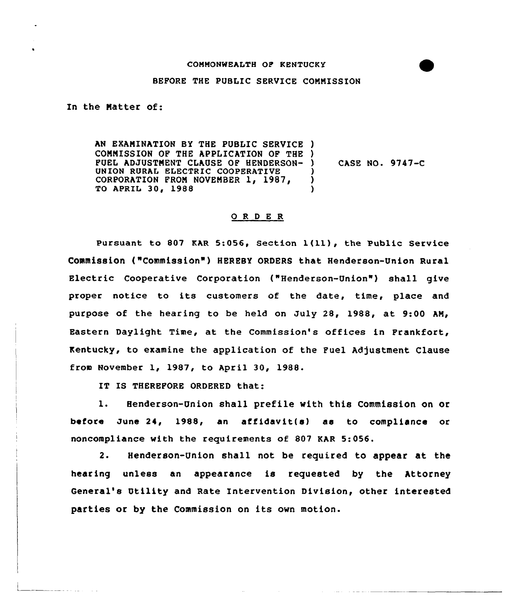## CONMONWEALTH OP KENTUCKY

## BEPORE THE PUBLIC SERVICE CONMISSION

In the Natter of:

AN EXANINATION BY THE PUBLIC SERVICE ) COMNISSION OF THE APPLICATION OF THE ) PUEL ADJUSTNENT CLAUSE OP HENDERSON-UNION RURAL ELECTRIC COOPERATIVE CORPORATION FROM NOVEMBER 1, 1987, TO APRIL 30, 1988 ) ) )

) CASE NO. 9747-C

## 0 <sup>R</sup> <sup>D</sup> E R

Pursuant to <sup>807</sup> KAR 5:056, Section l(11), the Public Service Commission ("Commission") HEREBY ORDERS that Henderson-Union Rural Electric Cooperative Corporation ("Henderson-Union" ) shall give proper notice to its customers of the date, time, place and purpose of the hearing to be held on July 28, 1988, at 9:00 AN, Eastern Daylight Time, at the Commission's offices in Frankfort, Kentucky, to examine the application of the Fuel Adjustment Clause from November 1, 1987, to Apri1 30, 1988.

IT IS THEREFORE ORDERED that:

l. Henderson-Union shall prefile with this Commission on or before June 24, 1988, an affidavit(s) as to compliance or noncompliance with the requirements of 807 KAR 5:056.

2. Henderson-Union shall not be required to appear at the hearing unless an appearance is requested by the Attorney General's Utility and Rate Intervention Division, other interested parties or by the Commission on its own motion.